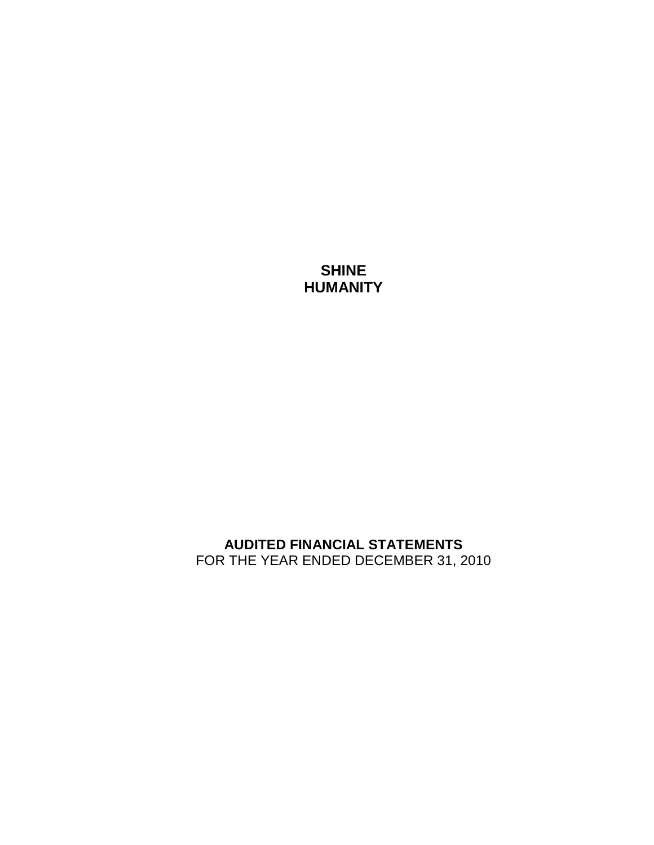# **SHINE HUMANITY**

# **AUDITED FINANCIAL STATEMENTS** FOR THE YEAR ENDED DECEMBER 31, 2010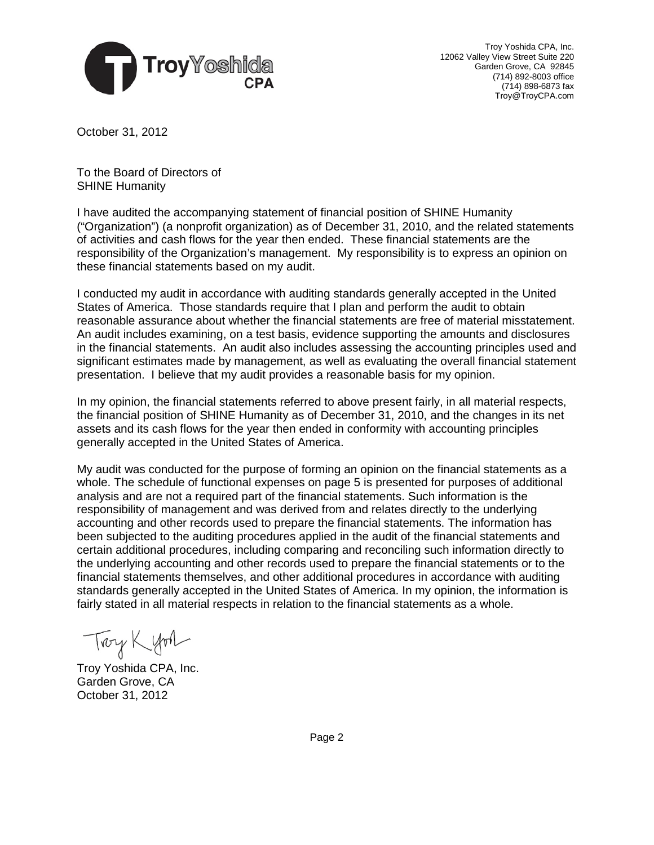

Troy Yoshida CPA, Inc. 12062 Valley View Street Suite 220 Garden Grove, CA 92845 (714) 892-8003 office (714) 898-6873 fax Troy@TroyCPA.com

October 31, 2012

To the Board of Directors of SHINE Humanity

I have audited the accompanying statement of financial position of SHINE Humanity ("Organization") (a nonprofit organization) as of December 31, 2010, and the related statements of activities and cash flows for the year then ended. These financial statements are the responsibility of the Organization's management. My responsibility is to express an opinion on these financial statements based on my audit.

I conducted my audit in accordance with auditing standards generally accepted in the United States of America. Those standards require that I plan and perform the audit to obtain reasonable assurance about whether the financial statements are free of material misstatement. An audit includes examining, on a test basis, evidence supporting the amounts and disclosures in the financial statements. An audit also includes assessing the accounting principles used and significant estimates made by management, as well as evaluating the overall financial statement presentation. I believe that my audit provides a reasonable basis for my opinion.

In my opinion, the financial statements referred to above present fairly, in all material respects, the financial position of SHINE Humanity as of December 31, 2010, and the changes in its net assets and its cash flows for the year then ended in conformity with accounting principles generally accepted in the United States of America.

My audit was conducted for the purpose of forming an opinion on the financial statements as a whole. The schedule of functional expenses on page 5 is presented for purposes of additional analysis and are not a required part of the financial statements. Such information is the responsibility of management and was derived from and relates directly to the underlying accounting and other records used to prepare the financial statements. The information has been subjected to the auditing procedures applied in the audit of the financial statements and certain additional procedures, including comparing and reconciling such information directly to the underlying accounting and other records used to prepare the financial statements or to the financial statements themselves, and other additional procedures in accordance with auditing standards generally accepted in the United States of America. In my opinion, the information is fairly stated in all material respects in relation to the financial statements as a whole.

Troy Kyon

Troy Yoshida CPA, Inc. Garden Grove, CA October 31, 2012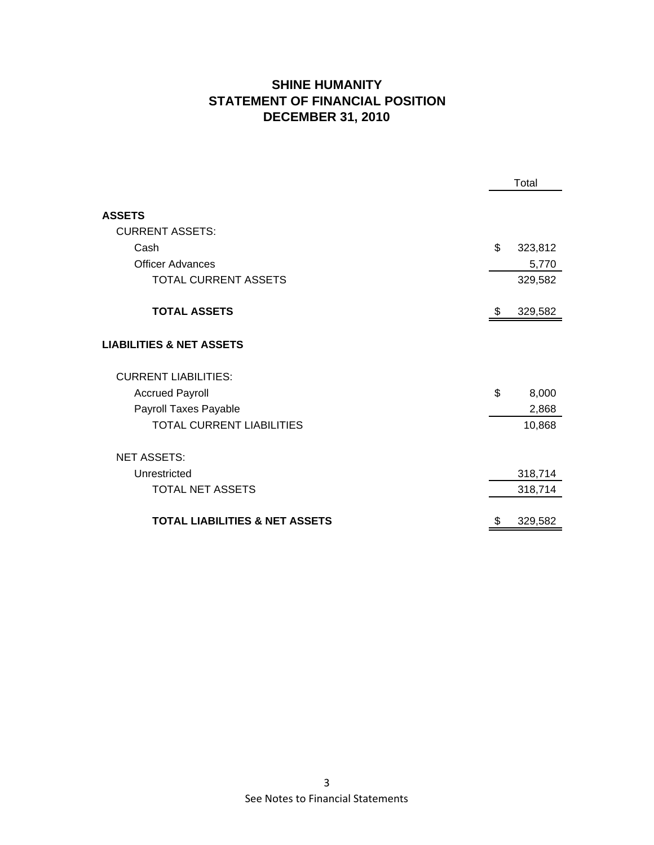## **SHINE HUMANITY STATEMENT OF FINANCIAL POSITION DECEMBER 31, 2010**

|                                           | Total |         |
|-------------------------------------------|-------|---------|
|                                           |       |         |
| <b>ASSETS</b>                             |       |         |
| <b>CURRENT ASSETS:</b>                    |       |         |
| Cash                                      | \$    | 323,812 |
| <b>Officer Advances</b>                   |       | 5,770   |
| <b>TOTAL CURRENT ASSETS</b>               |       | 329,582 |
|                                           |       |         |
| <b>TOTAL ASSETS</b>                       | \$    | 329,582 |
|                                           |       |         |
| <b>LIABILITIES &amp; NET ASSETS</b>       |       |         |
| <b>CURRENT LIABILITIES:</b>               |       |         |
| <b>Accrued Payroll</b>                    | \$    | 8,000   |
| Payroll Taxes Payable                     |       | 2,868   |
| <b>TOTAL CURRENT LIABILITIES</b>          |       | 10,868  |
| <b>NET ASSETS:</b>                        |       |         |
| Unrestricted                              |       | 318,714 |
| <b>TOTAL NET ASSETS</b>                   |       | 318,714 |
|                                           |       |         |
| <b>TOTAL LIABILITIES &amp; NET ASSETS</b> | \$    | 329,582 |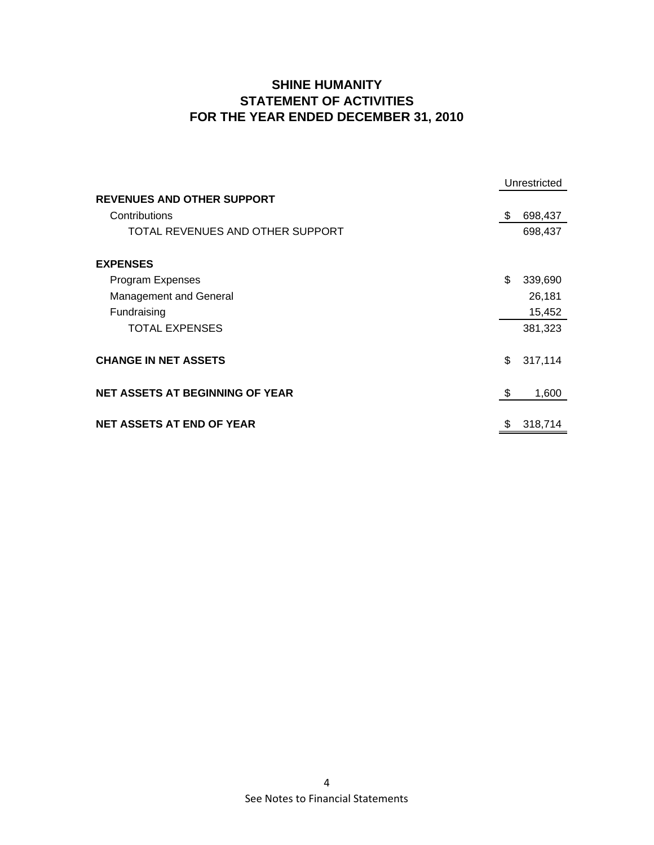## **SHINE HUMANITY STATEMENT OF ACTIVITIES FOR THE YEAR ENDED DECEMBER 31, 2010**

|                                        | Unrestricted |         |
|----------------------------------------|--------------|---------|
| <b>REVENUES AND OTHER SUPPORT</b>      |              |         |
| Contributions                          | \$           | 698,437 |
| TOTAL REVENUES AND OTHER SUPPORT       |              | 698,437 |
| <b>EXPENSES</b>                        |              |         |
| Program Expenses                       | \$           | 339,690 |
| Management and General                 |              | 26,181  |
| Fundraising                            |              | 15,452  |
| <b>TOTAL EXPENSES</b>                  |              | 381,323 |
| <b>CHANGE IN NET ASSETS</b>            | \$           | 317,114 |
| <b>NET ASSETS AT BEGINNING OF YEAR</b> | \$           | 1,600   |
| <b>NET ASSETS AT END OF YEAR</b>       | \$           | 318,714 |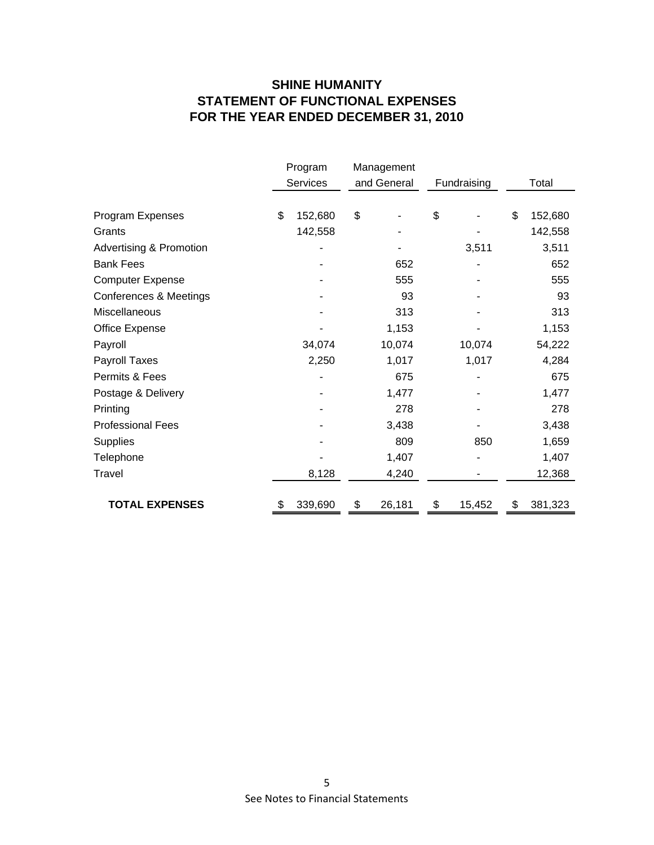## **SHINE HUMANITY STATEMENT OF FUNCTIONAL EXPENSES FOR THE YEAR ENDED DECEMBER 31, 2010**

|                                    | Program<br><b>Services</b> | Management<br>and General | Fundraising  | Total         |
|------------------------------------|----------------------------|---------------------------|--------------|---------------|
|                                    |                            |                           |              |               |
| Program Expenses                   | \$<br>152,680              | \$                        | \$           | \$<br>152,680 |
| Grants                             | 142,558                    |                           |              | 142,558       |
| <b>Advertising &amp; Promotion</b> |                            |                           | 3,511        | 3,511         |
| <b>Bank Fees</b>                   |                            | 652                       |              | 652           |
| <b>Computer Expense</b>            |                            | 555                       |              | 555           |
| Conferences & Meetings             |                            | 93                        |              | 93            |
| Miscellaneous                      |                            | 313                       |              | 313           |
| Office Expense                     |                            | 1,153                     |              | 1,153         |
| Payroll                            | 34,074                     | 10,074                    | 10,074       | 54,222        |
| Payroll Taxes                      | 2,250                      | 1,017                     | 1,017        | 4,284         |
| Permits & Fees                     |                            | 675                       |              | 675           |
| Postage & Delivery                 |                            | 1,477                     |              | 1,477         |
| Printing                           |                            | 278                       |              | 278           |
| <b>Professional Fees</b>           |                            | 3,438                     |              | 3,438         |
| <b>Supplies</b>                    |                            | 809                       | 850          | 1,659         |
| Telephone                          |                            | 1,407                     |              | 1,407         |
| Travel                             | 8,128                      | 4,240                     |              | 12,368        |
|                                    |                            |                           |              |               |
| <b>TOTAL EXPENSES</b>              | \$<br>339,690              | \$<br>26,181              | \$<br>15,452 | \$<br>381,323 |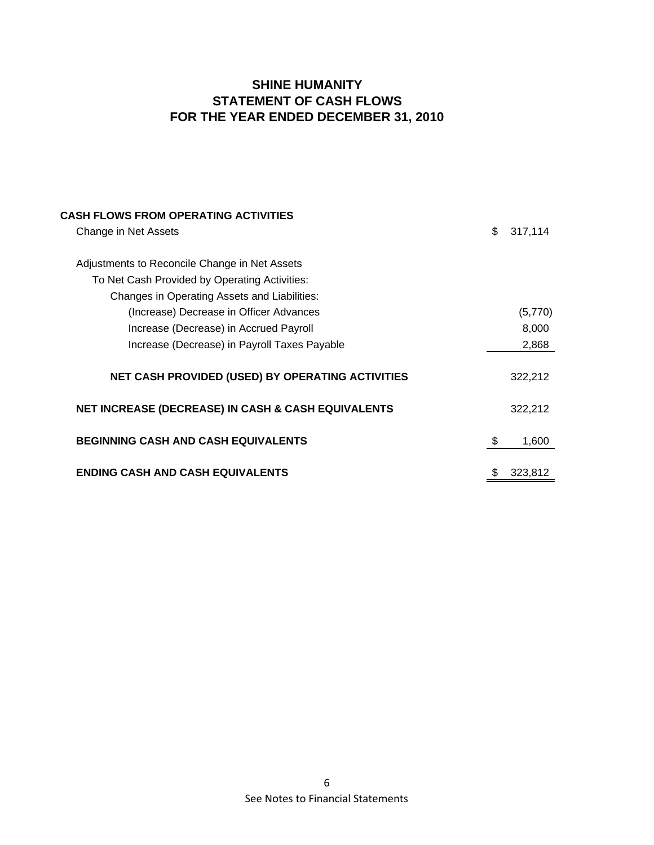## **SHINE HUMANITY STATEMENT OF CASH FLOWS FOR THE YEAR ENDED DECEMBER 31, 2010**

| <b>CASH FLOWS FROM OPERATING ACTIVITIES</b>                   |               |
|---------------------------------------------------------------|---------------|
| Change in Net Assets                                          | \$<br>317,114 |
|                                                               |               |
| Adjustments to Reconcile Change in Net Assets                 |               |
| To Net Cash Provided by Operating Activities:                 |               |
| Changes in Operating Assets and Liabilities:                  |               |
| (Increase) Decrease in Officer Advances                       | (5,770)       |
| Increase (Decrease) in Accrued Payroll                        | 8,000         |
| Increase (Decrease) in Payroll Taxes Payable                  | 2,868         |
| NET CASH PROVIDED (USED) BY OPERATING ACTIVITIES              | 322,212       |
| <b>NET INCREASE (DECREASE) IN CASH &amp; CASH EQUIVALENTS</b> | 322,212       |
| <b>BEGINNING CASH AND CASH EQUIVALENTS</b>                    | \$<br>1,600   |
| <b>ENDING CASH AND CASH EQUIVALENTS</b>                       | \$<br>323,812 |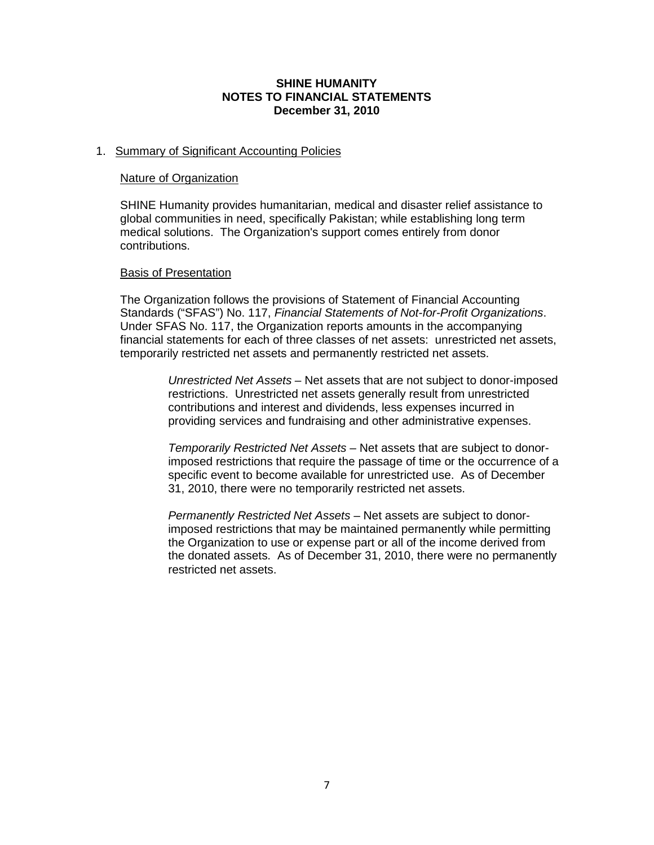## **SHINE HUMANITY NOTES TO FINANCIAL STATEMENTS December 31, 2010**

#### 1. Summary of Significant Accounting Policies

#### Nature of Organization

SHINE Humanity provides humanitarian, medical and disaster relief assistance to global communities in need, specifically Pakistan; while establishing long term medical solutions. The Organization's support comes entirely from donor contributions.

#### Basis of Presentation

The Organization follows the provisions of Statement of Financial Accounting Standards ("SFAS") No. 117, *Financial Statements of Not-for-Profit Organizations*. Under SFAS No. 117, the Organization reports amounts in the accompanying financial statements for each of three classes of net assets: unrestricted net assets, temporarily restricted net assets and permanently restricted net assets.

> *Unrestricted Net Assets* – Net assets that are not subject to donor-imposed restrictions. Unrestricted net assets generally result from unrestricted contributions and interest and dividends, less expenses incurred in providing services and fundraising and other administrative expenses.

> *Temporarily Restricted Net Assets* – Net assets that are subject to donorimposed restrictions that require the passage of time or the occurrence of a specific event to become available for unrestricted use. As of December 31, 2010, there were no temporarily restricted net assets.

> *Permanently Restricted Net Assets* – Net assets are subject to donorimposed restrictions that may be maintained permanently while permitting the Organization to use or expense part or all of the income derived from the donated assets. As of December 31, 2010, there were no permanently restricted net assets.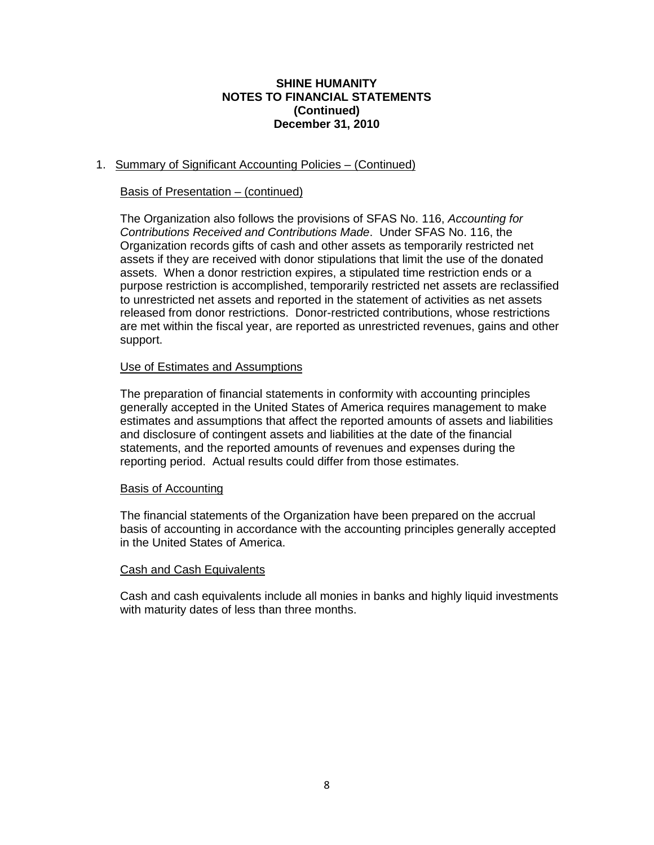## **SHINE HUMANITY NOTES TO FINANCIAL STATEMENTS (Continued) December 31, 2010**

## 1. Summary of Significant Accounting Policies – (Continued)

## Basis of Presentation – (continued)

The Organization also follows the provisions of SFAS No. 116, *Accounting for Contributions Received and Contributions Made*. Under SFAS No. 116, the Organization records gifts of cash and other assets as temporarily restricted net assets if they are received with donor stipulations that limit the use of the donated assets. When a donor restriction expires, a stipulated time restriction ends or a purpose restriction is accomplished, temporarily restricted net assets are reclassified to unrestricted net assets and reported in the statement of activities as net assets released from donor restrictions. Donor-restricted contributions, whose restrictions are met within the fiscal year, are reported as unrestricted revenues, gains and other support.

## Use of Estimates and Assumptions

The preparation of financial statements in conformity with accounting principles generally accepted in the United States of America requires management to make estimates and assumptions that affect the reported amounts of assets and liabilities and disclosure of contingent assets and liabilities at the date of the financial statements, and the reported amounts of revenues and expenses during the reporting period. Actual results could differ from those estimates.

#### Basis of Accounting

The financial statements of the Organization have been prepared on the accrual basis of accounting in accordance with the accounting principles generally accepted in the United States of America.

#### Cash and Cash Equivalents

Cash and cash equivalents include all monies in banks and highly liquid investments with maturity dates of less than three months.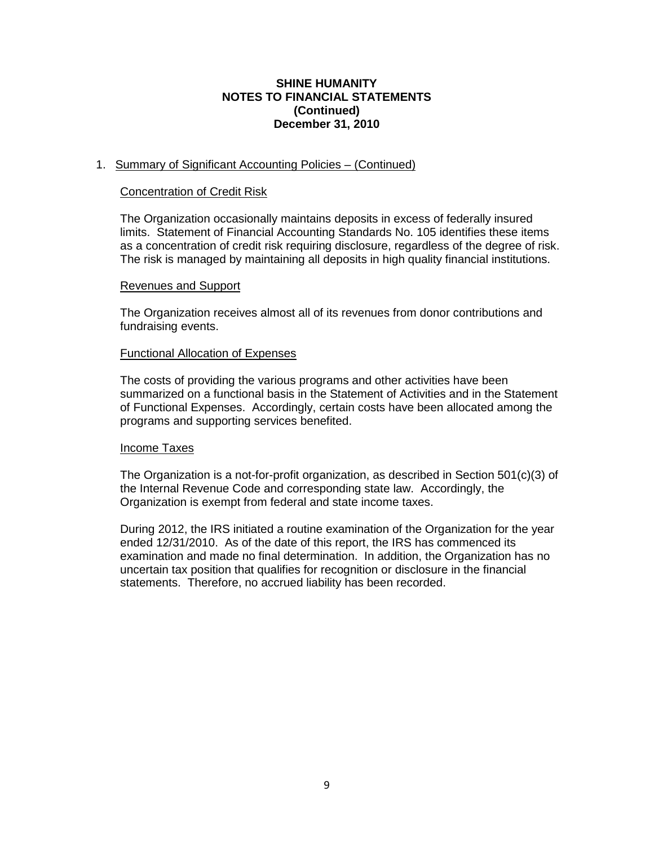## **SHINE HUMANITY NOTES TO FINANCIAL STATEMENTS (Continued) December 31, 2010**

## 1. Summary of Significant Accounting Policies – (Continued)

#### Concentration of Credit Risk

The Organization occasionally maintains deposits in excess of federally insured limits. Statement of Financial Accounting Standards No. 105 identifies these items as a concentration of credit risk requiring disclosure, regardless of the degree of risk. The risk is managed by maintaining all deposits in high quality financial institutions.

#### Revenues and Support

The Organization receives almost all of its revenues from donor contributions and fundraising events.

#### Functional Allocation of Expenses

The costs of providing the various programs and other activities have been summarized on a functional basis in the Statement of Activities and in the Statement of Functional Expenses. Accordingly, certain costs have been allocated among the programs and supporting services benefited.

#### Income Taxes

The Organization is a not-for-profit organization, as described in Section 501(c)(3) of the Internal Revenue Code and corresponding state law. Accordingly, the Organization is exempt from federal and state income taxes.

During 2012, the IRS initiated a routine examination of the Organization for the year ended 12/31/2010. As of the date of this report, the IRS has commenced its examination and made no final determination. In addition, the Organization has no uncertain tax position that qualifies for recognition or disclosure in the financial statements. Therefore, no accrued liability has been recorded.